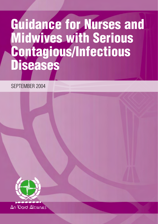## **Guidance for Nurses and Midwives with Serious Contagious/Infectious Diseases**

SEPTEMBER 2004